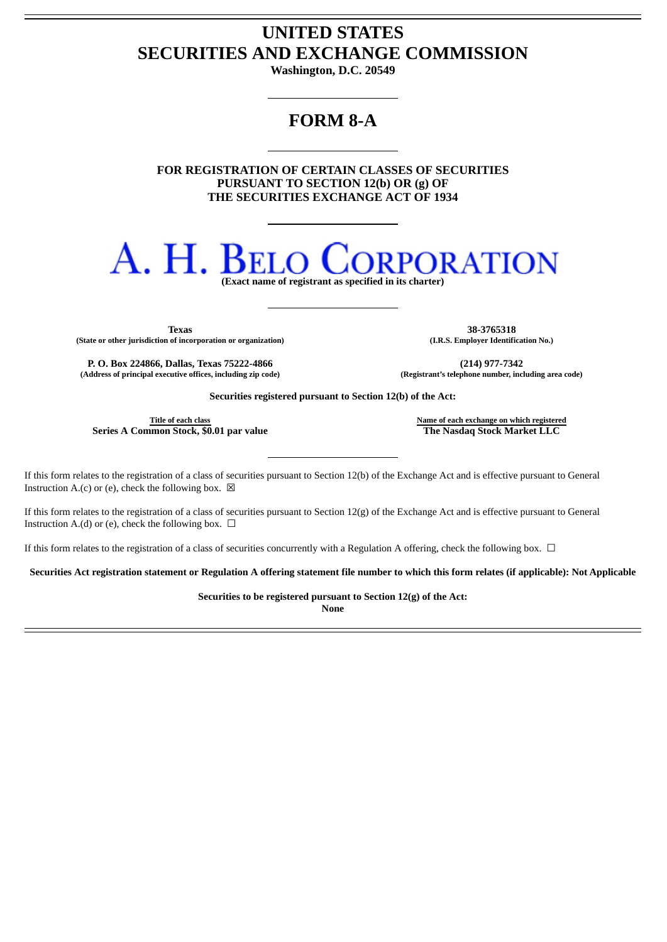## **UNITED STATES SECURITIES AND EXCHANGE COMMISSION**

**Washington, D.C. 20549**

## **FORM 8-A**

**FOR REGISTRATION OF CERTAIN CLASSES OF SECURITIES PURSUANT TO SECTION 12(b) OR (g) OF THE SECURITIES EXCHANGE ACT OF 1934**

# A. H. Bei **RPORATION**

**(Exact name of registrant as specified in its charter)**

**(State or other jurisdiction of incorporation or organization) (I.R.S. Employer Identification No.)**

**P. O. Box 224866, Dallas, Texas 75222-4866 (214) 977-7342 (Address of principal executive offices, including zip code) (Registrant's telephone number, including area code)**

**Texas 38-3765318**

**Securities registered pursuant to Section 12(b) of the Act:**

**Series A Common Stock, \$0.01 par value The Nasdaq Stock Market LLC**

**Title of each class Name of each exchange on which registered**

If this form relates to the registration of a class of securities pursuant to Section 12(b) of the Exchange Act and is effective pursuant to General Instruction A.(c) or (e), check the following box.  $\boxtimes$ 

If this form relates to the registration of a class of securities pursuant to Section 12(g) of the Exchange Act and is effective pursuant to General Instruction A.(d) or (e), check the following box.  $\Box$ 

If this form relates to the registration of a class of securities concurrently with a Regulation A offering, check the following box.  $\Box$ 

Securities Act registration statement or Regulation A offering statement file number to which this form relates (if applicable): Not Applicable

**Securities to be registered pursuant to Section 12(g) of the Act:**

**None**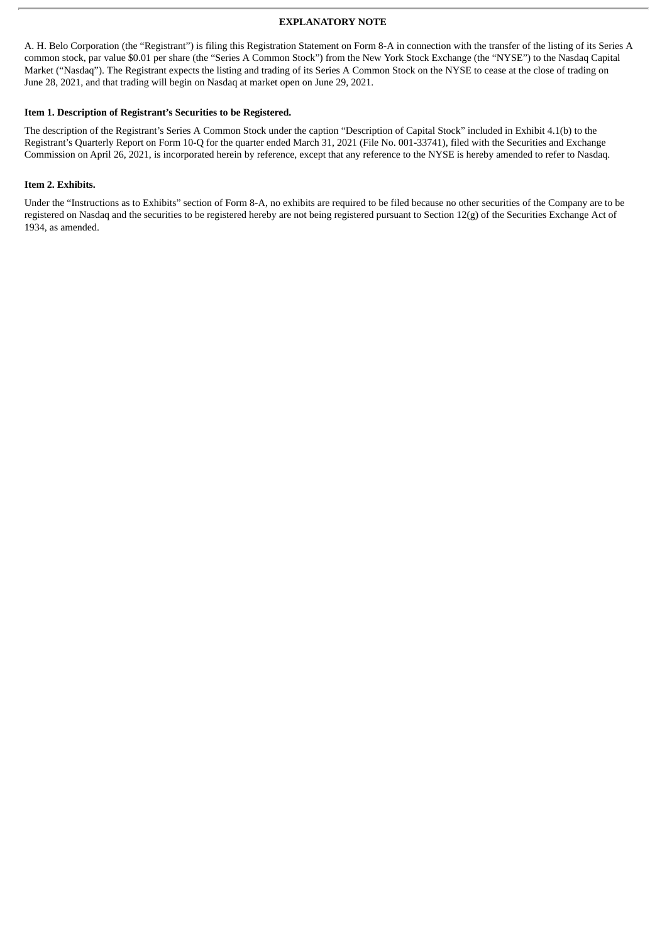#### **EXPLANATORY NOTE**

A. H. Belo Corporation (the "Registrant") is filing this Registration Statement on Form 8-A in connection with the transfer of the listing of its Series A common stock, par value \$0.01 per share (the "Series A Common Stock") from the New York Stock Exchange (the "NYSE") to the Nasdaq Capital Market ("Nasdaq"). The Registrant expects the listing and trading of its Series A Common Stock on the NYSE to cease at the close of trading on June 28, 2021, and that trading will begin on Nasdaq at market open on June 29, 2021.

#### **Item 1. Description of Registrant's Securities to be Registered.**

The description of the Registrant's Series A Common Stock under the caption "Description of Capital Stock" included in Exhibit 4.1(b) to the Registrant's Quarterly Report on Form 10-Q for the quarter ended March 31, 2021 (File No. 001-33741), filed with the Securities and Exchange Commission on April 26, 2021, is incorporated herein by reference, except that any reference to the NYSE is hereby amended to refer to Nasdaq.

#### **Item 2. Exhibits.**

Under the "Instructions as to Exhibits" section of Form 8-A, no exhibits are required to be filed because no other securities of the Company are to be registered on Nasdaq and the securities to be registered hereby are not being registered pursuant to Section 12(g) of the Securities Exchange Act of 1934, as amended.